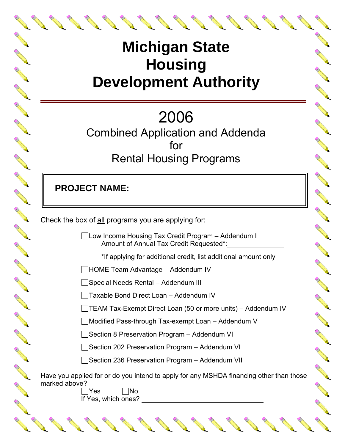## **Michigan State Housing Development Authority**

# 2006

Combined Application and Addenda for Rental Housing Programs

 **PROJECT NAME:**

A RIVER

N REA

A AMERICA

Contract of the

CONTROLL BY

No Card Re

**CONTROLLER** 

A A R

Article of the contract of the contract of the contract of the contract of the contract of the contract of the

**ANTICOLLECTION** 

AND TO

A REA

A A R

A RIVER

A March 19

A REAL

A A Contract of the

A March

A March 1

**RANCISCO** 

Check the box of all programs you are applying for:

Low Income Housing Tax Credit Program – Addendum I Amount of Annual Tax Credit Requested\*:

\*If applying for additional credit, list additional amount only

**ANTICOLOGICAL REPORT** 

A Maria

A REAL

A March 19

A Red

**Contract of the Contract of the Contract of the Contract of The Contract of The Contract of The Contract of The Contract of The Contract of The Contract of The Contract of The Contract of The Contract of The Contract of T** 

HOME Team Advantage – Addendum IV

 $\Box$ Special Needs Rental – Addendum III

Taxable Bond Direct Loan – Addendum IV

TEAM Tax-Exempt Direct Loan (50 or more units) – Addendum IV

Modified Pass-through Tax-exempt Loan – Addendum V

■Section 8 Preservation Program – Addendum VI

Section 202 Preservation Program – Addendum VI

■Section 236 Preservation Program – Addendum VII

Have you applied for or do you intend to apply for any MSHDA financing other than those marked above?

|Yes ||No If Yes, which ones?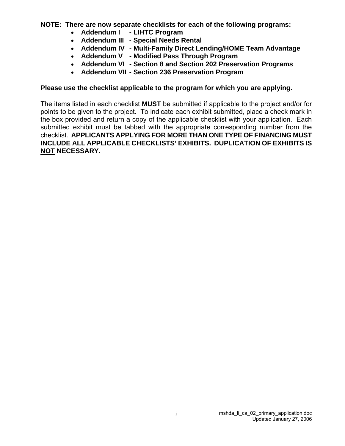**NOTE: There are now separate checklists for each of the following programs:** 

- **Addendum I LIHTC Program**
- **Addendum III Special Needs Rental**
- **Addendum IV Multi-Family Direct Lending/HOME Team Advantage**
- **Addendum V Modified Pass Through Program**
- **Addendum VI Section 8 and Section 202 Preservation Programs**
- **Addendum VII Section 236 Preservation Program**

## **Please use the checklist applicable to the program for which you are applying.**

The items listed in each checklist **MUST** be submitted if applicable to the project and/or for points to be given to the project. To indicate each exhibit submitted, place a check mark in the box provided and return a copy of the applicable checklist with your application. Each submitted exhibit must be tabbed with the appropriate corresponding number from the checklist. **APPLICANTS APPLYING FOR MORE THAN ONE TYPE OF FINANCING MUST INCLUDE ALL APPLICABLE CHECKLISTS' EXHIBITS. DUPLICATION OF EXHIBITS IS NOT NECESSARY.**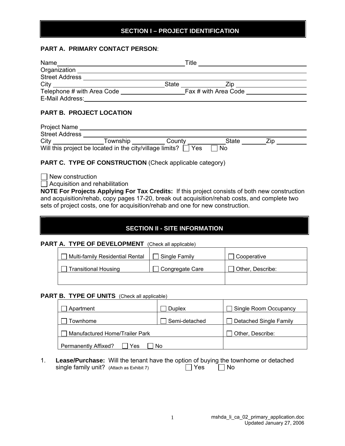## **SECTION I – PROJECT IDENTIFICATION**

#### **PART A. PRIMARY CONTACT PERSON**:

| Name                       | ⊤itle∶       |                      |  |
|----------------------------|--------------|----------------------|--|
| Organization               |              |                      |  |
| <b>Street Address</b>      |              |                      |  |
| City                       | <b>State</b> | 7in                  |  |
| Telephone # with Area Code |              | Fax # with Area Code |  |
| E-Mail Address:            |              |                      |  |

#### **PART B. PROJECT LOCATION**

| <b>Project Name</b>   |                                                          |        |       |  |
|-----------------------|----------------------------------------------------------|--------|-------|--|
| <b>Street Address</b> |                                                          |        |       |  |
| City                  | Township                                                 | County | State |  |
|                       | Will this project be located in the city/village limits? | Yes    | No.   |  |

#### **PART C. TYPE OF CONSTRUCTION** (Check applicable category)

 $\Box$  New construction

 $\Box$  Acquisition and rehabilitation

**NOTE For Projects Applying For Tax Credits:** If this project consists of both new construction and acquisition/rehab, copy pages 17-20, break out acquisition/rehab costs, and complete two sets of project costs, one for acquisition/rehab and one for new construction.

## **SECTION II - SITE INFORMATION**

**PART A. TYPE OF DEVELOPMENT** (Check all applicable)

| Multi-family Residential Rental | Single Family   | Cooperative      |
|---------------------------------|-----------------|------------------|
| <b>Transitional Housing</b>     | Congregate Care | Other, Describe: |
|                                 |                 |                  |

## **PART B. TYPE OF UNITS** (Check all applicable)

| Apartment                      | Duplex        | Single Room Occupancy         |
|--------------------------------|---------------|-------------------------------|
| iownhome                       | Semi-detached | <b>Detached Single Family</b> |
| Manufactured Home/Trailer Park |               | Other, Describe:              |
| Permanently Affixed?<br>′es    | No            |                               |

1. **Lease/Purchase:** Will the tenant have the option of buying the townhome or detached single family unit? (Attach as Exhibit 7)  $\Box$  Yes  $\Box$  No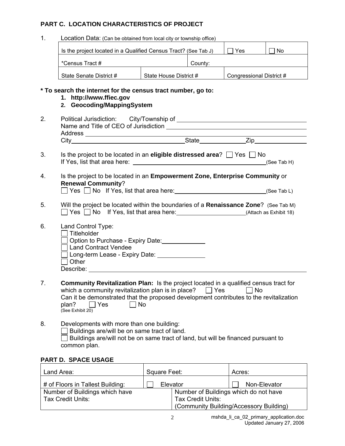#### **PART C. LOCATION CHARACTERISTICS OF PROJECT**

1. Location Data: (Can be obtained from local city or township office)

| Is the project located in a Qualified Census Tract? (See Tab J) |                        |         | Yes                      | No |
|-----------------------------------------------------------------|------------------------|---------|--------------------------|----|
| *Census Tract #                                                 |                        | County: |                          |    |
| State Senate District #                                         | State House District # |         | Congressional District # |    |

#### **\* To search the internet for the census tract number, go to:**

- **1. http://www.ffiec.gov**
- **2. Geocoding/MappingSystem**
- 2. Political Jurisdiction: City/Township of Communication of Allen Communication of Allen Communication of Allen Communication of Allen Communication of Allen Communication of Allen Communication of Allen Communication of Name and Title of CEO of Jurisdiction Address City State Zip 3. Is the project to be located in an **eligible distressed area**?  $\Box$  Yes  $\Box$  No
- If Yes, list that area here:  $\frac{1}{2}$  if Yes, list that area here:  $\frac{1}{2}$  if Yes, list that area here:
- 4. Is the project to be located in an **Empowerment Zone, Enterprise Community** or **Renewal Community**?  $\Box$  Yes  $\Box$  No If Yes, list that area here:  $(See Tab L)$
- 5. Will the project be located within the boundaries of a **Renaissance Zone**? (See Tab M)
	- $\Box$  Yes  $\Box$  No If Yes, list that area here:  $\Box$  (Attach as Exhibit 18)
- 6. Land Control Type:

| Titleholder                         |  |
|-------------------------------------|--|
| □ Option to Purchase - Expiry Date: |  |

- Long-term Lease Expiry Date:
- $\Box$  Other Describe: when the contract of the contract of the contract of the contract of the contract of the contract of the contract of the contract of the contract of the contract of the contract of the contract of the contract of
- 7. **Community Revitalization Plan:** Is the project located in a qualified census tract for which a community revitalization plan is in place?  $\Box$  Yes  $\Box$  No Can it be demonstrated that the proposed development contributes to the revitalization plan?  $\Box$  Yes  $\Box$  No  $plan? \qquad \Box Y$ es  $\Box$  No See Exhibit 20)
- 8. Developments with more than one building:  $\Box$  Buildings are/will be on same tract of land.  $\Box$  Buildings are/will not be on same tract of land, but will be financed pursuant to common plan.

## **PART D. SPACE USAGE**

| Land Area:                       | Square Feet:             | Acres:                                  |
|----------------------------------|--------------------------|-----------------------------------------|
| # of Floors in Tallest Building: | Elevator                 | Non-Elevator                            |
| Number of Buildings which have   |                          | Number of Buildings which do not have   |
| Tax Credit Units:                | <b>Tax Credit Units:</b> |                                         |
|                                  |                          | (Community Building/Accessory Building) |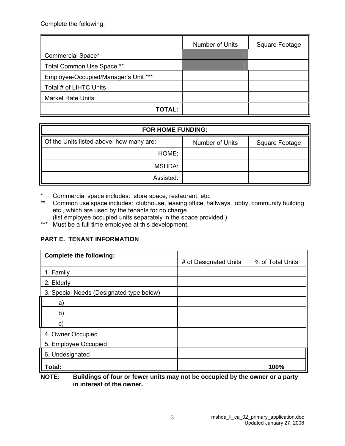Complete the following:

|                                      | Number of Units | Square Footage |
|--------------------------------------|-----------------|----------------|
| Commercial Space*                    |                 |                |
| Total Common Use Space **            |                 |                |
| Employee-Occupied/Manager's Unit *** |                 |                |
| Total # of LIHTC Units               |                 |                |
| <b>Market Rate Units</b>             |                 |                |
| TOTAL:                               |                 |                |

| <b>FOR HOME FUNDING:</b>                             |                 |                |
|------------------------------------------------------|-----------------|----------------|
| $\parallel$ Of the Units listed above, how many are: | Number of Units | Square Footage |
| HOME:                                                |                 |                |
| MSHDA:                                               |                 |                |
| Assisted:                                            |                 |                |

\* Commercial space includes: store space, restaurant, etc.

\*\* Common use space includes: clubhouse, leasing office, hallways, lobby, community building etc., which are used by the tenants for no charge.

(list employee occupied units separately in the space provided.)

\*\*\* Nust be a full time employee at this development.

## **PART E. TENANT INFORMATION**

| <b>Complete the following:</b>           | # of Designated Units | % of Total Units |
|------------------------------------------|-----------------------|------------------|
| 1. Family                                |                       |                  |
| 2. Elderly                               |                       |                  |
| 3. Special Needs (Designated type below) |                       |                  |
| a)                                       |                       |                  |
| b)                                       |                       |                  |
| C)                                       |                       |                  |
| 4. Owner Occupied                        |                       |                  |
| 5. Employee Occupied                     |                       |                  |
| 6. Undesignated                          |                       |                  |
| Total:                                   |                       | 100%             |

**NOTE: Buildings of four or fewer units may not be occupied by the owner or a party in interest of the owner.**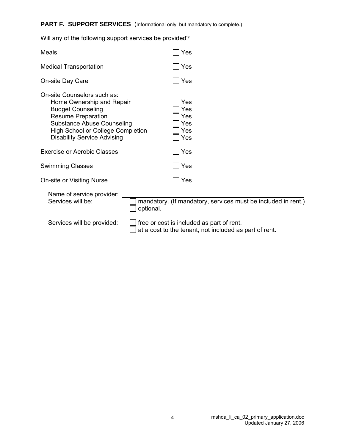## PART F. SUPPORT SERVICES (Informational only, but mandatory to complete.)

| <b>Medical Transportation</b>                                                                                                                                                                                                            |           | Yes                                                                                                 |
|------------------------------------------------------------------------------------------------------------------------------------------------------------------------------------------------------------------------------------------|-----------|-----------------------------------------------------------------------------------------------------|
| On-site Day Care                                                                                                                                                                                                                         |           | Yes                                                                                                 |
| On-site Counselors such as:<br>Home Ownership and Repair<br><b>Budget Counseling</b><br><b>Resume Preparation</b><br><b>Substance Abuse Counseling</b><br><b>High School or College Completion</b><br><b>Disability Service Advising</b> |           | Yes<br>Yes<br>Yes<br>Yes<br>Yes<br>Yes                                                              |
| <b>Exercise or Aerobic Classes</b>                                                                                                                                                                                                       |           | Yes                                                                                                 |
| <b>Swimming Classes</b>                                                                                                                                                                                                                  |           | Yes                                                                                                 |
| On-site or Visiting Nurse                                                                                                                                                                                                                |           | Yes                                                                                                 |
| Name of service provider:<br>Services will be:                                                                                                                                                                                           | optional. | mandatory. (If mandatory, services must be included in rent.)                                       |
| Services will be provided:                                                                                                                                                                                                               |           | free or cost is included as part of rent.<br>at a cost to the tenant, not included as part of rent. |

Will any of the following support services be provided?

Meals  $\Box$  Yes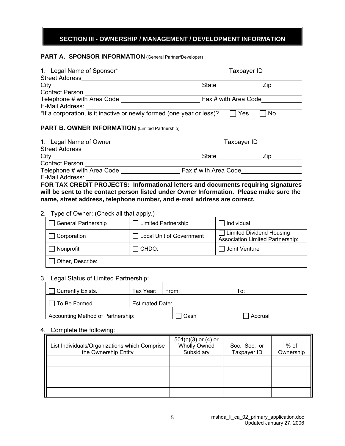## **SECTION III - OWNERSHIP / MANAGEMENT / DEVELOPMENT INFORMATION**

#### **PART A. SPONSOR INFORMATION** (General Partner/Developer)

|                                                                                                                 | State <b>Zip</b>                      |
|-----------------------------------------------------------------------------------------------------------------|---------------------------------------|
|                                                                                                                 |                                       |
|                                                                                                                 | Fax # with Area Code                  |
|                                                                                                                 |                                       |
| E-Mail Address: <u>Jean</u> and Address: E-Mail Address: 1997 in the or newly formed (one year or less)? Du Yes | No                                    |
| <b>PART B. OWNER INFORMATION</b> (Limited Partnership)                                                          |                                       |
|                                                                                                                 |                                       |
|                                                                                                                 |                                       |
|                                                                                                                 | State _______________________ Zip____ |
| <b>Contact Person</b>                                                                                           |                                       |
|                                                                                                                 |                                       |
| E-Mail Address:                                                                                                 |                                       |

**FOR TAX CREDIT PROJECTS: Informational letters and documents requiring signatures will be sent to the contact person listed under Owner Information. Please make sure the name, street address, telephone number, and e-mail address are correct.** 

#### 2. Type of Owner: (Check all that apply.)

| General Partnership | <b>Limited Partnership</b> | Individual                                                                 |
|---------------------|----------------------------|----------------------------------------------------------------------------|
| Corporation         | Local Unit of Government   | <b>Limited Dividend Housing</b><br><b>Association Limited Partnership:</b> |
| Nonprofit           | CHDO:                      | Joint Venture                                                              |
| Other, Describe:    |                            |                                                                            |

#### 3. Legal Status of Limited Partnership:

| <b>Currently Exists.</b>          | Tax Year:   From:      |      |  | To:     |  |
|-----------------------------------|------------------------|------|--|---------|--|
| To Be Formed.                     | <b>Estimated Date:</b> |      |  |         |  |
| Accounting Method of Partnership: |                        | Cash |  | Accrual |  |

#### 4. Complete the following:

| List Individuals/Organizations which Comprise<br>the Ownership Entity | $501(c)(3)$ or $(4)$ or<br><b>Wholly Owned</b><br>Subsidiary | Soc. Sec. or<br>Taxpayer ID | % of<br>Ownership |
|-----------------------------------------------------------------------|--------------------------------------------------------------|-----------------------------|-------------------|
|                                                                       |                                                              |                             |                   |
|                                                                       |                                                              |                             |                   |
|                                                                       |                                                              |                             |                   |
|                                                                       |                                                              |                             |                   |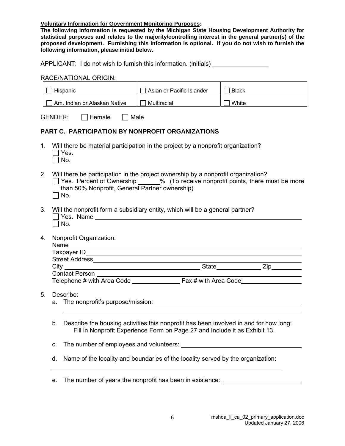**Voluntary Information for Government Monitoring Purposes:** 

**The following information is requested by the Michigan State Housing Development Authority for statistical purposes and relates to the majority/controlling interest in the general partner(s) of the proposed development. Furnishing this information is optional. If you do not wish to furnish the following information, please initial below.** 

APPLICANT: I do not wish to furnish this information. (initials)

#### RACE/NATIONAL ORIGIN:

|    | Hispanic                                                                                                                                                                                                                                        | Asian or Pacific Islander                                                                                                                                           | <b>Black</b> |  |  |  |  |  |  |
|----|-------------------------------------------------------------------------------------------------------------------------------------------------------------------------------------------------------------------------------------------------|---------------------------------------------------------------------------------------------------------------------------------------------------------------------|--------------|--|--|--|--|--|--|
|    | □ Am. Indian or Alaskan Native                                                                                                                                                                                                                  | $\Box$ Multiracial                                                                                                                                                  | $\Box$ White |  |  |  |  |  |  |
|    | <b>GENDER:</b><br>$\Box$ Female<br>$\Box$ Male                                                                                                                                                                                                  |                                                                                                                                                                     |              |  |  |  |  |  |  |
|    | <b>PART C. PARTICIPATION BY NONPROFIT ORGANIZATIONS</b>                                                                                                                                                                                         |                                                                                                                                                                     |              |  |  |  |  |  |  |
| 1. | Will there be material participation in the project by a nonprofit organization?<br>Yes.<br>No.                                                                                                                                                 |                                                                                                                                                                     |              |  |  |  |  |  |  |
|    | 2.<br>Will there be participation in the project ownership by a nonprofit organization?<br>□ Yes. Percent of Ownership ______% (To receive nonprofit points, there must be more<br>than 50% Nonprofit, General Partner ownership)<br>$\Box$ No. |                                                                                                                                                                     |              |  |  |  |  |  |  |
| 3. | Will the nonprofit form a subsidiary entity, which will be a general partner?<br>No.                                                                                                                                                            |                                                                                                                                                                     |              |  |  |  |  |  |  |
| 4. | Nonprofit Organization:<br>Name                                                                                                                                                                                                                 |                                                                                                                                                                     |              |  |  |  |  |  |  |
|    |                                                                                                                                                                                                                                                 |                                                                                                                                                                     |              |  |  |  |  |  |  |
|    |                                                                                                                                                                                                                                                 |                                                                                                                                                                     |              |  |  |  |  |  |  |
| 5. | Describe:<br>a.                                                                                                                                                                                                                                 |                                                                                                                                                                     |              |  |  |  |  |  |  |
|    | b.                                                                                                                                                                                                                                              | Describe the housing activities this nonprofit has been involved in and for how long:<br>Fill in Nonprofit Experience Form on Page 27 and Include it as Exhibit 13. |              |  |  |  |  |  |  |
|    | C.                                                                                                                                                                                                                                              |                                                                                                                                                                     |              |  |  |  |  |  |  |
|    | Name of the locality and boundaries of the locality served by the organization:<br>d.                                                                                                                                                           |                                                                                                                                                                     |              |  |  |  |  |  |  |

e. The number of years the nonprofit has been in existence: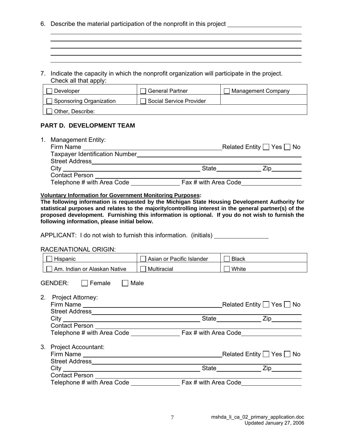- 6. Describe the material participation of the nonprofit in this project
- 7. Indicate the capacity in which the nonprofit organization will participate in the project. Check all that apply:

| Developer               | <b>General Partner</b>  | Management Company |
|-------------------------|-------------------------|--------------------|
| Sponsoring Organization | Social Service Provider |                    |
| Other, Describe:        |                         |                    |

and the control of the control of the control of the control of the control of the control of the control of the

#### **PART D. DEVELOPMENT TEAM**

| <b>Management Entity:</b><br>1. |                      |                                     |
|---------------------------------|----------------------|-------------------------------------|
| Firm Name                       |                      | Related Entity $\Box$ Yes $\Box$ No |
| Taxpayer Identification Number  |                      |                                     |
| <b>Street Address</b>           |                      |                                     |
| City                            | State                |                                     |
| <b>Contact Person</b>           |                      |                                     |
| Telephone # with Area Code      | Fax # with Area Code |                                     |

#### **Voluntary Information for Government Monitoring Purposes:**

**The following information is requested by the Michigan State Housing Development Authority for statistical purposes and relates to the majority/controlling interest in the general partner(s) of the proposed development. Furnishing this information is optional. If you do not wish to furnish the following information, please initial below.** 

APPLICANT: I do not wish to furnish this information. (initials)

#### RACE/NATIONAL ORIGIN:

| Hispanic                         | Asian or Pacific Islander | <b>Black</b>                        |
|----------------------------------|---------------------------|-------------------------------------|
| Am. Indian or Alaskan Native     | Multiracial               | $\Box$ White                        |
| Male<br>GENDER:<br><b>Female</b> |                           |                                     |
| 2.<br>Project Attorney:          |                           | Related Entity $\Box$ Yes $\Box$ No |
|                                  |                           | State Zip                           |
|                                  |                           |                                     |
|                                  |                           |                                     |
| 3.<br><b>Project Accountant:</b> |                           |                                     |
|                                  |                           |                                     |
|                                  |                           |                                     |
|                                  |                           |                                     |
| Telephone # with Area Code       | Fax # with Area Code      |                                     |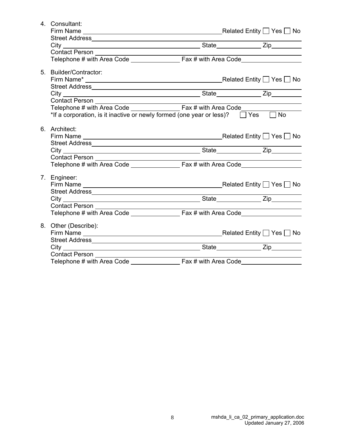| 4. Consultant:                                                                             |  |  |
|--------------------------------------------------------------------------------------------|--|--|
|                                                                                            |  |  |
|                                                                                            |  |  |
|                                                                                            |  |  |
| Contact Person                                                                             |  |  |
|                                                                                            |  |  |
|                                                                                            |  |  |
| 5. Builder/Contractor:                                                                     |  |  |
|                                                                                            |  |  |
|                                                                                            |  |  |
|                                                                                            |  |  |
|                                                                                            |  |  |
|                                                                                            |  |  |
| *If a corporation, is it inactive or newly formed (one year or less)? $\Box$ Yes $\Box$ No |  |  |
|                                                                                            |  |  |
| 6. Architect:                                                                              |  |  |
|                                                                                            |  |  |
|                                                                                            |  |  |
|                                                                                            |  |  |
|                                                                                            |  |  |
|                                                                                            |  |  |
|                                                                                            |  |  |
| 7. Engineer:                                                                               |  |  |
|                                                                                            |  |  |
|                                                                                            |  |  |
|                                                                                            |  |  |
|                                                                                            |  |  |
|                                                                                            |  |  |
| 8. Other (Describe):                                                                       |  |  |
|                                                                                            |  |  |
|                                                                                            |  |  |
| Street Address Management Communication of the Street Address                              |  |  |
|                                                                                            |  |  |
|                                                                                            |  |  |
|                                                                                            |  |  |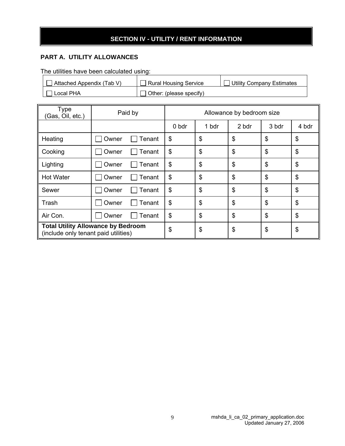## **SECTION IV - UTILITY / RENT INFORMATION**

## **PART A. UTILITY ALLOWANCES**

The utilities have been calculated using:

| Attached Appendix (Tab V) | Rural Housing Service          | <b>Utility Company Estimates</b> |
|---------------------------|--------------------------------|----------------------------------|
| Local PHA                 | $\Box$ Other: (please specify) |                                  |

| <b>Type</b><br>(Gas, Oil, etc.)                                                   | Paid by         | Allowance by bedroom size |       |       |       |                           |
|-----------------------------------------------------------------------------------|-----------------|---------------------------|-------|-------|-------|---------------------------|
|                                                                                   |                 | 0 bdr                     | 1 bdr | 2 bdr | 3 bdr | 4 bdr                     |
| Heating                                                                           | Tenant<br>Owner | \$                        | \$    | \$    | \$    | $\boldsymbol{\theta}$     |
| Cooking                                                                           | Owner<br>Tenant | \$                        | \$    | \$    | \$    | $\boldsymbol{\mathsf{S}}$ |
| Lighting                                                                          | Tenant<br>Owner | \$                        | \$    | \$    | \$    | $\boldsymbol{\mathsf{S}}$ |
| <b>Hot Water</b>                                                                  | Owner<br>Tenant | \$                        | \$    | \$    | \$    | $\boldsymbol{\mathsf{S}}$ |
| Sewer                                                                             | Owner<br>Tenant | \$                        | \$    | \$    | \$    | $\boldsymbol{\mathsf{S}}$ |
| Trash                                                                             | Owner<br>Tenant | \$                        | \$    | \$    | \$    | $\frac{1}{2}$             |
| Air Con.                                                                          | Owner<br>Tenant | \$                        | \$    | \$    | \$    | \$                        |
| <b>Total Utility Allowance by Bedroom</b><br>(include only tenant paid utilities) |                 | \$                        | \$    | \$    | \$    | \$                        |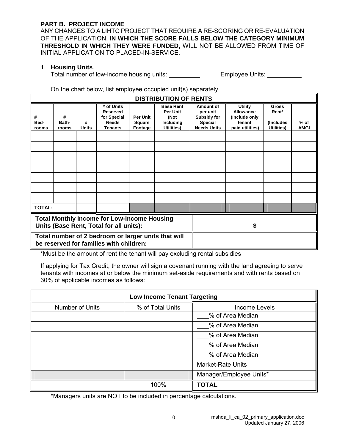#### **PART B. PROJECT INCOME**

ANY CHANGES TO A LIHTC PROJECT THAT REQUIRE A RE-SCORING OR RE-EVALUATION OF THE APPLICATION, **IN WHICH THE SCORE FALLS BELOW THE CATEGORY MINIMUM THRESHOLD IN WHICH THEY WERE FUNDED,** WILL NOT BE ALLOWED FROM TIME OF INITIAL APPLICATION TO PLACED-IN-SERVICE.

#### 1. **Housing Units**.

Total number of low-income housing units: Employee Units:

#### On the chart below, list employee occupied unit(s) separately.

|                                                                                                | <b>DISTRIBUTION OF RENTS</b> |                   |                                                                                |                                      |                                                                        |                                                                              |                                                                           |                                                   |                       |
|------------------------------------------------------------------------------------------------|------------------------------|-------------------|--------------------------------------------------------------------------------|--------------------------------------|------------------------------------------------------------------------|------------------------------------------------------------------------------|---------------------------------------------------------------------------|---------------------------------------------------|-----------------------|
| #<br>Bed-<br>rooms                                                                             | #<br>Bath-<br>rooms          | #<br><b>Units</b> | # of Units<br><b>Reserved</b><br>for Special<br><b>Needs</b><br><b>Tenants</b> | <b>Per Unit</b><br>Square<br>Footage | <b>Base Rent</b><br><b>Per Unit</b><br>(Not<br>Including<br>Utilities) | Amount of<br>per unit<br>Subsidy for<br><b>Special</b><br><b>Needs Units</b> | <b>Utility</b><br>Allowance<br>(Include only<br>tenant<br>paid utilities) | <b>Gross</b><br>Rent*<br>(Includes)<br>Utilities) | $%$ of<br><b>AMGI</b> |
|                                                                                                |                              |                   |                                                                                |                                      |                                                                        |                                                                              |                                                                           |                                                   |                       |
|                                                                                                |                              |                   |                                                                                |                                      |                                                                        |                                                                              |                                                                           |                                                   |                       |
|                                                                                                |                              |                   |                                                                                |                                      |                                                                        |                                                                              |                                                                           |                                                   |                       |
|                                                                                                |                              |                   |                                                                                |                                      |                                                                        |                                                                              |                                                                           |                                                   |                       |
|                                                                                                |                              |                   |                                                                                |                                      |                                                                        |                                                                              |                                                                           |                                                   |                       |
|                                                                                                |                              |                   |                                                                                |                                      |                                                                        |                                                                              |                                                                           |                                                   |                       |
|                                                                                                |                              |                   |                                                                                |                                      |                                                                        |                                                                              |                                                                           |                                                   |                       |
| <b>TOTAL:</b>                                                                                  |                              |                   |                                                                                |                                      |                                                                        |                                                                              |                                                                           |                                                   |                       |
| <b>Total Monthly Income for Low-Income Housing</b><br>Units (Base Rent, Total for all units):  |                              |                   |                                                                                |                                      |                                                                        |                                                                              |                                                                           |                                                   |                       |
| Total number of 2 bedroom or larger units that will<br>be reserved for families with children: |                              |                   |                                                                                |                                      |                                                                        |                                                                              |                                                                           |                                                   |                       |

\*Must be the amount of rent the tenant will pay excluding rental subsidies

If applying for Tax Credit, the owner will sign a covenant running with the land agreeing to serve tenants with incomes at or below the minimum set-aside requirements and with rents based on 30% of applicable incomes as follows:

|                 | <b>Low Income Tenant Targeting</b> |                          |  |
|-----------------|------------------------------------|--------------------------|--|
| Number of Units | % of Total Units                   | <b>Income Levels</b>     |  |
|                 |                                    | % of Area Median         |  |
|                 |                                    | % of Area Median         |  |
|                 |                                    | % of Area Median         |  |
|                 |                                    | % of Area Median         |  |
|                 |                                    | % of Area Median         |  |
|                 |                                    | <b>Market-Rate Units</b> |  |
|                 |                                    | Manager/Employee Units*  |  |
|                 | 100%                               | <b>TOTAL</b>             |  |

\*Managers units are NOT to be included in percentage calculations.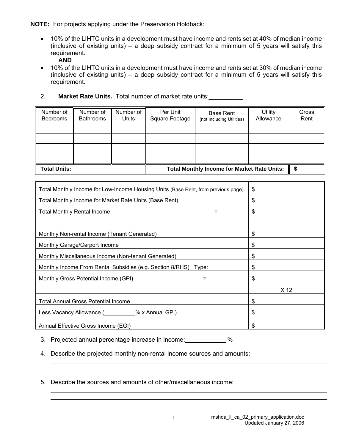**NOTE:** For projects applying under the Preservation Holdback:

• 10% of the LIHTC units in a development must have income and rents set at 40% of median income (inclusive of existing units) – a deep subsidy contract for a minimum of 5 years will satisfy this requirement.

**AND** 

- 10% of the LIHTC units in a development must have income and rents set at 30% of median income (inclusive of existing units) – a deep subsidy contract for a minimum of 5 years will satisfy this requirement.
- 2. **Market Rate Units.** Total number of market rate units:\_\_\_\_\_\_\_\_\_\_

| Number of<br><b>Bedrooms</b> | Number of<br><b>Bathrooms</b> | Number of<br>Units | Per Unit<br>Square Footage                         | <b>Base Rent</b><br>(not Including Utilities) | <b>Utility</b><br>Allowance | Gross<br>Rent |
|------------------------------|-------------------------------|--------------------|----------------------------------------------------|-----------------------------------------------|-----------------------------|---------------|
|                              |                               |                    |                                                    |                                               |                             |               |
|                              |                               |                    |                                                    |                                               |                             |               |
|                              |                               |                    |                                                    |                                               |                             |               |
|                              |                               |                    |                                                    |                                               |                             |               |
| <b>Total Units:</b>          |                               |                    | <b>Total Monthly Income for Market Rate Units:</b> |                                               |                             |               |

| Total Monthly Income for Low-Income Housing Units (Base Rent, from previous page) | \$   |
|-----------------------------------------------------------------------------------|------|
| Total Monthly Income for Market Rate Units (Base Rent)                            | \$   |
| <b>Total Monthly Rental Income</b><br>$=$                                         | \$   |
|                                                                                   |      |
| Monthly Non-rental Income (Tenant Generated)                                      | \$   |
| Monthly Garage/Carport Income                                                     | \$   |
| Monthly Miscellaneous Income (Non-tenant Generated)                               | \$   |
| Monthly Income From Rental Subsidies (e.g. Section 8/RHS) Type:                   | \$   |
| Monthly Gross Potential Income (GPI)                                              | \$   |
|                                                                                   | X 12 |
| <b>Total Annual Gross Potential Income</b>                                        | \$   |
| % x Annual GPI)<br>Less Vacancy Allowance (                                       | \$   |
| Annual Effective Gross Income (EGI)                                               | \$   |

3. Projected annual percentage increase in income: %

4. Describe the projected monthly non-rental income sources and amounts:

5. Describe the sources and amounts of other/miscellaneous income: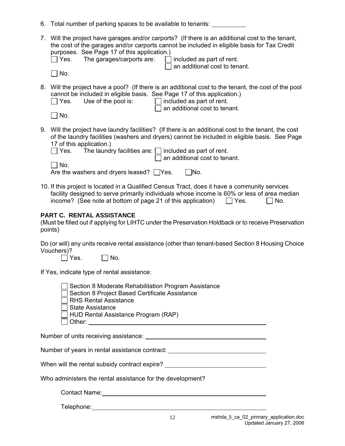|  |  |  | 6. Total number of parking spaces to be available to tenants: |
|--|--|--|---------------------------------------------------------------|
|--|--|--|---------------------------------------------------------------|

| 7. Will the project have garages and/or carports? (If there is an additional cost to the tenant, |
|--------------------------------------------------------------------------------------------------|
| the cost of the garages and/or carports cannot be included in eligible basis for Tax Credit      |
| purposes. See Page 17 of this application.)                                                      |
| The corresponding on the corresponding to the distribution of $\mathbf{f}$                       |

|  | $\Box$ Yes. |  |  | The garages/carports a |  |  |  |  |
|--|-------------|--|--|------------------------|--|--|--|--|
|--|-------------|--|--|------------------------|--|--|--|--|

 $\mathsf{A}$ re:  $\Box$  included as part of rent.  $\exists$  an additional cost to tenant.

 $\Box$  No.

8. Will the project have a pool? (If there is an additional cost to the tenant, the cost of the pool cannot be included in eligible basis. See Page 17 of this application.)

| $\Box$ Yes. | Use of the pool is: | $\Box$ included as part of rent.     |
|-------------|---------------------|--------------------------------------|
|             |                     | $\Box$ an additional cost to tenant. |
| $\Box$ No.  |                     |                                      |

| ۰. |
|----|

9. Will the project have laundry facilities? (If there is an additional cost to the tenant, the cost of the laundry facilities (washers and dryers) cannot be included in eligible basis. See Page 17 of this application.)

| $\Box$ Yes. | The laundry facilities are: $\Box$ included as part of rent. |
|-------------|--------------------------------------------------------------|
|             | $\Box$ an additional cost to tenant.                         |
| $\Box$ No.  |                                                              |

| and the state of the state of the state of the state of the state of the state of the state of the state of the |            |
|-----------------------------------------------------------------------------------------------------------------|------------|
| Are the washers and dryers leased? $\Box$ Yes.                                                                  | $\Box$ No. |

10. If this project is located in a Qualified Census Tract, does it have a community services facility designed to serve primarily individuals whose income is 60% or less of area median income? (See note at bottom of page 21 of this application)  $\Box$  Yes.  $\Box$  No.

## **PART C. RENTAL ASSISTANCE**

(Must be filled out if applying for LIHTC under the Preservation Holdback or to receive Preservation points)

Do (or will) any units receive rental assistance (other than tenant-based Section 8 Housing Choice Vouchers)?

 $\Box$  Yes.  $\Box$  No.

If Yes, indicate type of rental assistance:

| Section 8 Moderate Rehabilitation Program Assistance |  |
|------------------------------------------------------|--|
| Section 8 Project Based Certificate Assistance       |  |
| $\Box$ RHS Rental Assistance                         |  |
| $\Box$ State Assistance                              |  |
| $\Box$ HUD Rental Assistance Program (RAP)           |  |
| $\Box$ Other:                                        |  |

Number of units receiving assistance:

Number of years in rental assistance contract: University of Vears in rental assistance contract:

| When will the rental subsidy contract expire? |  |
|-----------------------------------------------|--|
|-----------------------------------------------|--|

Who administers the rental assistance for the development?

Contact Name:

Telephone: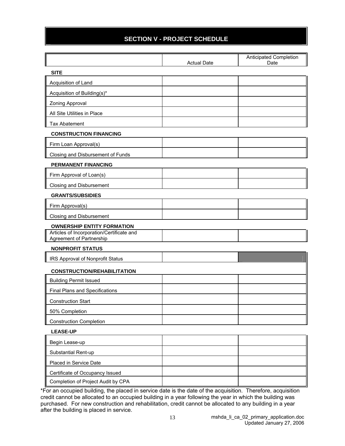## **SECTION V - PROJECT SCHEDULE**

|                                                                              | <b>Actual Date</b> | Anticipated Completion<br>Date |
|------------------------------------------------------------------------------|--------------------|--------------------------------|
| <b>SITE</b>                                                                  |                    |                                |
| Acquisition of Land                                                          |                    |                                |
| Acquisition of Building(s)*                                                  |                    |                                |
| Zoning Approval                                                              |                    |                                |
| All Site Utilities in Place                                                  |                    |                                |
| <b>Tax Abatement</b>                                                         |                    |                                |
| <b>CONSTRUCTION FINANCING</b>                                                |                    |                                |
| Firm Loan Approval(s)                                                        |                    |                                |
| Closing and Disbursement of Funds                                            |                    |                                |
| PERMANENT FINANCING                                                          |                    |                                |
| Firm Approval of Loan(s)                                                     |                    |                                |
| Closing and Disbursement                                                     |                    |                                |
| <b>GRANTS/SUBSIDIES</b>                                                      |                    |                                |
| Firm Approval(s)                                                             |                    |                                |
| Closing and Disbursement                                                     |                    |                                |
| <b>OWNERSHIP ENTITY FORMATION</b>                                            |                    |                                |
| Articles of Incorporation/Certificate and<br><b>Agreement of Partnership</b> |                    |                                |
| <b>NONPROFIT STATUS</b>                                                      |                    |                                |
| IRS Approval of Nonprofit Status                                             |                    |                                |
|                                                                              |                    |                                |
| <b>CONSTRUCTION/REHABILITATION</b><br><b>Building Permit Issued</b>          |                    |                                |
| Final Plans and Specifications                                               |                    |                                |
| <b>Construction Start</b>                                                    |                    |                                |
| 50% Completion                                                               |                    |                                |
| <b>Construction Completion</b>                                               |                    |                                |
| <b>LEASE-UP</b>                                                              |                    |                                |
|                                                                              |                    |                                |
| Begin Lease-up<br>Substantial Rent-up                                        |                    |                                |
| Placed in Service Date                                                       |                    |                                |
| Certificate of Occupancy Issued                                              |                    |                                |
| Completion of Project Audit by CPA                                           |                    |                                |

\*For an occupied building, the placed in service date is the date of the acquisition. Therefore, acquisition credit cannot be allocated to an occupied building in a year following the year in which the building was purchased. For new construction and rehabilitation, credit cannot be allocated to any building in a year after the building is placed in service.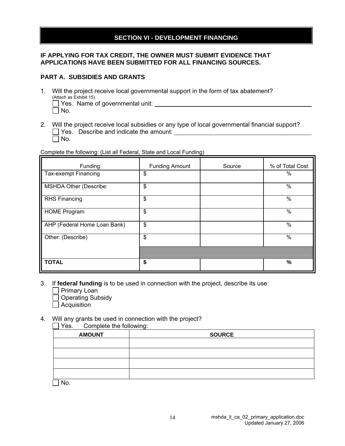## **SECTION VI - DEVELOPMENT FINANCING**

#### **IF APPLYING FOR TAX CREDIT, THE OWNER MUST SUBMIT EVIDENCE THAT APPLICATIONS HAVE BEEN SUBMITTED FOR ALL FINANCING SOURCES.**

#### **PART A. SUBSIDIES AND GRANTS**

- 1. Will the project receive local governmental support in the form of tax abatement? (Attach as Exhibit 15)  $\Box$  Yes. Name of governmental unit:
	- $\Box$  No.
- 2. Will the project receive local subsidies or any type of local governmental financial support?  $\Box$  Yes. Describe and indicate the amount:  $\Box$  No.

Complete the following: (List all Federal, State and Local Funding)

| Funding                       | <b>Funding Amount</b> | Source | % of Total Cost |
|-------------------------------|-----------------------|--------|-----------------|
| Tax-exempt Financing          | \$                    |        | %               |
| <b>MSHDA Other (Describe:</b> | \$                    |        | $\frac{0}{0}$   |
| <b>RHS Financing</b>          | $\frac{1}{2}$         |        | $\frac{0}{0}$   |
| <b>HOME Program</b>           | \$                    |        | $\%$            |
| AHP (Federal Home Loan Bank)  | $\frac{1}{2}$         |        | %               |
| Other: (Describe)             | \$                    |        | $\%$            |
|                               |                       |        |                 |
| <b>TOTAL</b>                  | \$                    |        | %               |

- 3. If **federal funding** is to be used in connection with the project, describe its use:
	- **Primary Loan**
	- □ Operating Subsidy
	- $\Box$  Acquisition

#### 4. Will any grants be used in connection with the project?

 Yes. Complete the following: AMOUNT RESERVES AND SOURCE

No.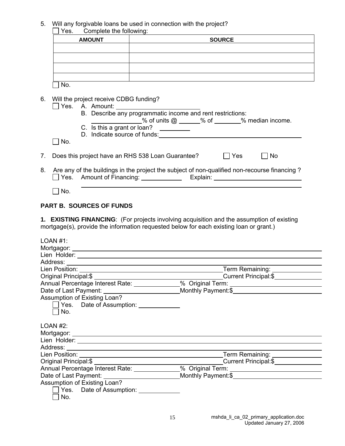5. Will any forgivable loans be used in connection with the project?

| Complete the following:<br>Yes. |               |
|---------------------------------|---------------|
| <b>AMOUNT</b>                   | <b>SOURCE</b> |
|                                 |               |
|                                 |               |
|                                 |               |
|                                 |               |
| N٥.                             |               |

6. Will the project receive CDBG funding?

|    | Yes. | A. Amount:                                                                                                                                                                                                                                  |
|----|------|---------------------------------------------------------------------------------------------------------------------------------------------------------------------------------------------------------------------------------------------|
|    |      | B. Describe any programmatic income and rent restrictions:                                                                                                                                                                                  |
|    |      | % of units $@ \_\_\_\%$ of $\_\_\_\%$ median income.                                                                                                                                                                                        |
|    |      | C. Is this a grant or loan?                                                                                                                                                                                                                 |
|    |      |                                                                                                                                                                                                                                             |
|    | No.  |                                                                                                                                                                                                                                             |
| 7. |      | Does this project have an RHS 538 Loan Guarantee?<br>Yes<br>No.                                                                                                                                                                             |
| 8. |      | Are any of the buildings in the project the subject of non-qualified non-recourse financing?<br>Yes. Amount of Financing:<br>Explain: Explaint Services and Services and Services and Services and Services and Services and Services and S |

 $\Box$  No.

## **PART B. SOURCES OF FUNDS**

**1. EXISTING FINANCING**: (For projects involving acquisition and the assumption of existing mortgage(s), provide the information requested below for each existing loan or grant.)

| LOAN #1:                               |                                                                                   |  |  |  |  |  |  |  |
|----------------------------------------|-----------------------------------------------------------------------------------|--|--|--|--|--|--|--|
|                                        |                                                                                   |  |  |  |  |  |  |  |
|                                        |                                                                                   |  |  |  |  |  |  |  |
|                                        |                                                                                   |  |  |  |  |  |  |  |
|                                        | Term Remaining: ________________                                                  |  |  |  |  |  |  |  |
|                                        | Current Principal:\$                                                              |  |  |  |  |  |  |  |
|                                        | Annual Percentage Interest Rate: _____________% Original Term: _________________  |  |  |  |  |  |  |  |
|                                        |                                                                                   |  |  |  |  |  |  |  |
| Assumption of Existing Loan?           |                                                                                   |  |  |  |  |  |  |  |
| Yes. Date of Assumption:               |                                                                                   |  |  |  |  |  |  |  |
| No.                                    |                                                                                   |  |  |  |  |  |  |  |
|                                        |                                                                                   |  |  |  |  |  |  |  |
| LOAN #2:                               |                                                                                   |  |  |  |  |  |  |  |
|                                        |                                                                                   |  |  |  |  |  |  |  |
|                                        |                                                                                   |  |  |  |  |  |  |  |
|                                        |                                                                                   |  |  |  |  |  |  |  |
|                                        | Term Remaining: ________________                                                  |  |  |  |  |  |  |  |
|                                        |                                                                                   |  |  |  |  |  |  |  |
|                                        | Annual Percentage Interest Rate: _____________% Original Term: __________________ |  |  |  |  |  |  |  |
|                                        |                                                                                   |  |  |  |  |  |  |  |
| Assumption of Existing Loan?           |                                                                                   |  |  |  |  |  |  |  |
| Yes. Date of Assumption: _____________ |                                                                                   |  |  |  |  |  |  |  |
| No.                                    |                                                                                   |  |  |  |  |  |  |  |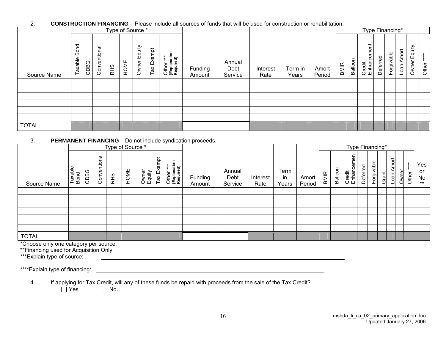#### 2. **CONSTRUCTION FINANCING** – Please include all sources of funds that will be used for construction or rehabilitation.

|              |                        |      |                                        |     | Type of Source * |                 |            |                                        |                   |                           |                  |                  |                 |             |         | Type Financing*            |          |            |                  |                 |                 |
|--------------|------------------------|------|----------------------------------------|-----|------------------|-----------------|------------|----------------------------------------|-------------------|---------------------------|------------------|------------------|-----------------|-------------|---------|----------------------------|----------|------------|------------------|-----------------|-----------------|
| Source Name  | P<br>ି<br>ଜ<br>Taxable | CDBG | $\overline{\sigma}$<br>entiona<br>Conv | RHS | HOME             | Equity<br>Owner | Tax Exempt | Other ***<br>(Explanation<br>Required) | Funding<br>Amount | Annual<br>Debt<br>Service | Interest<br>Rate | Term in<br>Years | Amort<br>Period | <b>BMIR</b> | Balloon | cement<br>Credit<br>Enhano | Deferred | Forgivable | Amort<br>$L$ oan | Equity<br>Owner | $\ast$<br>Other |
|              |                        |      |                                        |     |                  |                 |            |                                        |                   |                           |                  |                  |                 |             |         |                            |          |            |                  |                 |                 |
|              |                        |      |                                        |     |                  |                 |            |                                        |                   |                           |                  |                  |                 |             |         |                            |          |            |                  |                 |                 |
|              |                        |      |                                        |     |                  |                 |            |                                        |                   |                           |                  |                  |                 |             |         |                            |          |            |                  |                 |                 |
|              |                        |      |                                        |     |                  |                 |            |                                        |                   |                           |                  |                  |                 |             |         |                            |          |            |                  |                 |                 |
|              |                        |      |                                        |     |                  |                 |            |                                        |                   |                           |                  |                  |                 |             |         |                            |          |            |                  |                 |                 |
|              |                        |      |                                        |     |                  |                 |            |                                        |                   |                           |                  |                  |                 |             |         |                            |          |            |                  |                 |                 |
| <b>TOTAL</b> |                        |      |                                        |     |                  |                 |            |                                        |                   |                           |                  |                  |                 |             |         |                            |          |            |                  |                 |                 |

#### 3. **PERMANENT FINANCING** – Do not include syndication proceeds.

|              |                 |      |                           | Type of Source * |      |                 |            |                                        |                   |                           |                  |                     |                 | Type Financing* |         |                              |          |            |       |                      |                                                    |       |                                 |
|--------------|-----------------|------|---------------------------|------------------|------|-----------------|------------|----------------------------------------|-------------------|---------------------------|------------------|---------------------|-----------------|-----------------|---------|------------------------------|----------|------------|-------|----------------------|----------------------------------------------------|-------|---------------------------------|
| Source Name  | Taxable<br>Bond | CDBG | ট্র<br>pitio<br>৯<br>Conv | <b>RHS</b>       | HOME | Owner<br>Equity | Tax Exempt | Other ***<br>(Explanation<br>Required) | Funding<br>Amount | Annual<br>Debt<br>Service | Interest<br>Rate | Term<br>in<br>Years | Amort<br>Period | BMIR            | Balloon | men<br>ළ<br>Credit<br>Enhano | Deferred | Forgivable | Grant | mort<br>⋖<br>$L$ oan | $\ast$<br>$\ddot{\ast}$<br>$\star$<br>-41<br>Owner | Other | Yes<br><b>or</b><br>No<br>$***$ |
|              |                 |      |                           |                  |      |                 |            |                                        |                   |                           |                  |                     |                 |                 |         |                              |          |            |       |                      |                                                    |       |                                 |
|              |                 |      |                           |                  |      |                 |            |                                        |                   |                           |                  |                     |                 |                 |         |                              |          |            |       |                      |                                                    |       |                                 |
|              |                 |      |                           |                  |      |                 |            |                                        |                   |                           |                  |                     |                 |                 |         |                              |          |            |       |                      |                                                    |       |                                 |
|              |                 |      |                           |                  |      |                 |            |                                        |                   |                           |                  |                     |                 |                 |         |                              |          |            |       |                      |                                                    |       |                                 |
|              |                 |      |                           |                  |      |                 |            |                                        |                   |                           |                  |                     |                 |                 |         |                              |          |            |       |                      |                                                    |       |                                 |
|              |                 |      |                           |                  |      |                 |            |                                        |                   |                           |                  |                     |                 |                 |         |                              |          |            |       |                      |                                                    |       |                                 |
| <b>TOTAL</b> |                 |      |                           |                  |      |                 |            |                                        |                   |                           |                  |                     |                 |                 |         |                              |          |            |       |                      |                                                    |       |                                 |

\*Choose only one category per source.

\*\*Financing used for Acquisition Only

\*\*\*Explain type of source:

\*\*\*\*Explain type of financing:

4. If applying for Tax Credit, will any of these funds be repaid with proceeds from the sale of the Tax Credit?<br>  $\Box$  Yes  $\Box$  No.

 $\Box$  No.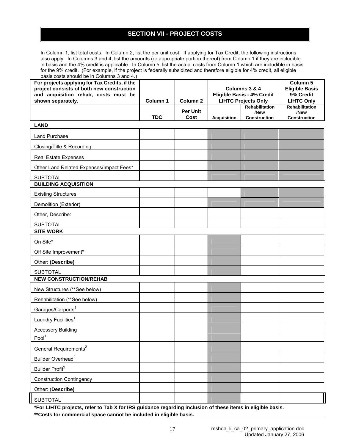## **SECTION VII - PROJECT COSTS**

In Column 1, list total costs. In Column 2, list the per unit cost. If applying for Tax Credit, the following instructions also apply: In Columns 3 and 4, list the amounts (or appropriate portion thereof) from Column 1 if they are includible in basis and the 4% credit is applicable. In Column 5, list the actual costs from Column 1 which are includible in basis for the 9% credit. (For example, if the project is federally subsidized and therefore eligible for 4% credit, all eligible basis costs should be in Columns 3 and  $4.1$ 

| $_{\text{Dasis}}$ costs should be in Coldmins 5 and 4.<br>For projects applying for Tax Credits, if the<br>project consists of both new construction<br>and acquisition rehab, costs must be<br>shown separately. | Column 1   | Column <sub>2</sub>     |                    | Columns 3 & 4<br>Eligible Basis - 4% Credit<br><b>LIHTC Projects Only</b> | Column 5<br><b>Eligible Basis</b><br>9% Credit<br><b>LIHTC Only</b> |  |  |
|-------------------------------------------------------------------------------------------------------------------------------------------------------------------------------------------------------------------|------------|-------------------------|--------------------|---------------------------------------------------------------------------|---------------------------------------------------------------------|--|--|
|                                                                                                                                                                                                                   | <b>TDC</b> | <b>Per Unit</b><br>Cost | <b>Acquisition</b> | Rehabilitation<br>/New<br>Construction                                    | Rehabilitation<br>/New<br>Construction                              |  |  |
| <b>LAND</b>                                                                                                                                                                                                       |            |                         |                    |                                                                           |                                                                     |  |  |
| <b>Land Purchase</b>                                                                                                                                                                                              |            |                         |                    |                                                                           |                                                                     |  |  |
| Closing/Title & Recording                                                                                                                                                                                         |            |                         |                    |                                                                           |                                                                     |  |  |
| Real Estate Expenses                                                                                                                                                                                              |            |                         |                    |                                                                           |                                                                     |  |  |
| Other Land Related Expenses/Impact Fees*                                                                                                                                                                          |            |                         |                    |                                                                           |                                                                     |  |  |
| <b>SUBTOTAL</b>                                                                                                                                                                                                   |            |                         |                    |                                                                           |                                                                     |  |  |
| <b>BUILDING ACQUISITION</b>                                                                                                                                                                                       |            |                         |                    |                                                                           |                                                                     |  |  |
| <b>Existing Structures</b>                                                                                                                                                                                        |            |                         |                    |                                                                           |                                                                     |  |  |
| Demolition (Exterior)                                                                                                                                                                                             |            |                         |                    |                                                                           |                                                                     |  |  |
| Other, Describe:                                                                                                                                                                                                  |            |                         |                    |                                                                           |                                                                     |  |  |
| <b>SUBTOTAL</b>                                                                                                                                                                                                   |            |                         |                    |                                                                           |                                                                     |  |  |
| <b>SITE WORK</b>                                                                                                                                                                                                  |            |                         |                    |                                                                           |                                                                     |  |  |
| On Site*                                                                                                                                                                                                          |            |                         |                    |                                                                           |                                                                     |  |  |
| Off Site Improvement*                                                                                                                                                                                             |            |                         |                    |                                                                           |                                                                     |  |  |
| Other: (Describe)                                                                                                                                                                                                 |            |                         |                    |                                                                           |                                                                     |  |  |
| <b>SUBTOTAL</b><br><b>NEW CONSTRUCTION/REHAB</b>                                                                                                                                                                  |            |                         |                    |                                                                           |                                                                     |  |  |
| New Structures (**See below)                                                                                                                                                                                      |            |                         |                    |                                                                           |                                                                     |  |  |
| Rehabilitation (**See below)                                                                                                                                                                                      |            |                         |                    |                                                                           |                                                                     |  |  |
| Garages/Carports <sup>1</sup>                                                                                                                                                                                     |            |                         |                    |                                                                           |                                                                     |  |  |
| Laundry Facilities <sup>1</sup>                                                                                                                                                                                   |            |                         |                    |                                                                           |                                                                     |  |  |
| <b>Accessory Building</b>                                                                                                                                                                                         |            |                         |                    |                                                                           |                                                                     |  |  |
| Pool <sup>1</sup>                                                                                                                                                                                                 |            |                         |                    |                                                                           |                                                                     |  |  |
| General Requirements <sup>2</sup>                                                                                                                                                                                 |            |                         |                    |                                                                           |                                                                     |  |  |
| Builder Overhead <sup>2</sup>                                                                                                                                                                                     |            |                         |                    |                                                                           |                                                                     |  |  |
| Builder Profit <sup>2</sup>                                                                                                                                                                                       |            |                         |                    |                                                                           |                                                                     |  |  |
| <b>Construction Contingency</b>                                                                                                                                                                                   |            |                         |                    |                                                                           |                                                                     |  |  |
| Other: (Describe)                                                                                                                                                                                                 |            |                         |                    |                                                                           |                                                                     |  |  |
| <b>SUBTOTAL</b>                                                                                                                                                                                                   |            |                         |                    |                                                                           |                                                                     |  |  |

**\*For LIHTC projects, refer to Tab X for IRS guidance regarding inclusion of these items in eligible basis. \*\*Costs for commercial space cannot be included in eligible basis.**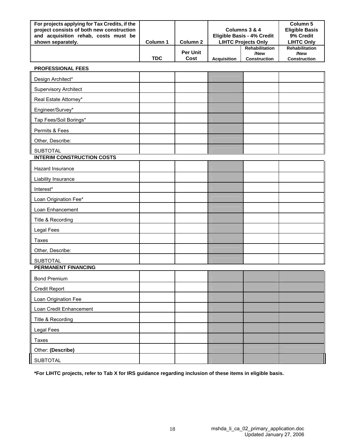| For projects applying for Tax Credits, if the<br>project consists of both new construction<br>and acquisition rehab, costs must be<br>shown separately. | Column 1   | Column 2                |                    | Columns 3 & 4<br>Eligible Basis - 4% Credit<br><b>LIHTC Projects Only</b> |                                                      |  |  |
|---------------------------------------------------------------------------------------------------------------------------------------------------------|------------|-------------------------|--------------------|---------------------------------------------------------------------------|------------------------------------------------------|--|--|
|                                                                                                                                                         | <b>TDC</b> | <b>Per Unit</b><br>Cost | <b>Acquisition</b> | <b>Rehabilitation</b><br>/New<br><b>Construction</b>                      | <b>Rehabilitation</b><br>/New<br><b>Construction</b> |  |  |

| <b>PROFESSIONAL FEES</b> |  |
|--------------------------|--|
|--------------------------|--|

| Design Architect*                 |  |  |  |
|-----------------------------------|--|--|--|
| <b>Supervisory Architect</b>      |  |  |  |
| Real Estate Attorney*             |  |  |  |
| Engineer/Survey*                  |  |  |  |
| Tap Fees/Soil Borings*            |  |  |  |
| Permits & Fees                    |  |  |  |
| Other, Describe:                  |  |  |  |
| <b>SUBTOTAL</b>                   |  |  |  |
| <b>INTERIM CONSTRUCTION COSTS</b> |  |  |  |
| Hazard Insurance                  |  |  |  |
| Liability Insurance               |  |  |  |
| Interest*                         |  |  |  |
| Loan Origination Fee*             |  |  |  |
| Loan Enhancement                  |  |  |  |
| Title & Recording                 |  |  |  |
| <b>Legal Fees</b>                 |  |  |  |
| Taxes                             |  |  |  |
| Other, Describe:                  |  |  |  |
| <b>SUBTOTAL</b>                   |  |  |  |
| <b>PERMANENT FINANCING</b>        |  |  |  |
| <b>Bond Premium</b>               |  |  |  |
| <b>Credit Report</b>              |  |  |  |
| Loan Origination Fee              |  |  |  |
| Loan Credit Enhancement           |  |  |  |
| Title & Recording                 |  |  |  |
| Legal Fees                        |  |  |  |
| Taxes                             |  |  |  |
| Other: (Describe)                 |  |  |  |
| <b>SUBTOTAL</b>                   |  |  |  |

**\*For LIHTC projects, refer to Tab X for IRS guidance regarding inclusion of these items in eligible basis.**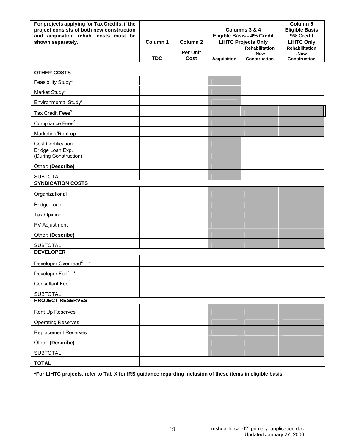| For projects applying for Tax Credits, if the<br>project consists of both new construction<br>and acquisition rehab, costs must be |            |                 |                    | Columns 3 & 4<br><b>Eligible Basis - 4% Credit</b> | Column 5<br><b>Eligible Basis</b><br>9% Credit |
|------------------------------------------------------------------------------------------------------------------------------------|------------|-----------------|--------------------|----------------------------------------------------|------------------------------------------------|
| shown separately.                                                                                                                  | Column 1   | Column 2        |                    | <b>LIHTC Projects Only</b>                         | <b>LIHTC Only</b>                              |
|                                                                                                                                    |            | <b>Per Unit</b> |                    | <b>Rehabilitation</b><br>/New                      | <b>Rehabilitation</b><br>/New                  |
|                                                                                                                                    | <b>TDC</b> | Cost            | <b>Acquisition</b> | <b>Construction</b>                                | <b>Construction</b>                            |

| <b>OTHER COSTS</b>                        |  |  |  |
|-------------------------------------------|--|--|--|
| Feasibility Study*                        |  |  |  |
| Market Study*                             |  |  |  |
| Environmental Study*                      |  |  |  |
| Tax Credit Fees <sup>3</sup>              |  |  |  |
| Compliance Fees <sup>4</sup>              |  |  |  |
| Marketing/Rent-up                         |  |  |  |
| Cost Certification                        |  |  |  |
| Bridge Loan Exp.<br>(During Construction) |  |  |  |
| Other: (Describe)                         |  |  |  |
| <b>SUBTOTAL</b>                           |  |  |  |
| <b>SYNDICATION COSTS</b>                  |  |  |  |
| Organizational                            |  |  |  |
| <b>Bridge Loan</b>                        |  |  |  |
| Tax Opinion                               |  |  |  |
| PV Adjustment                             |  |  |  |
| Other: (Describe)                         |  |  |  |
| <b>SUBTOTAL</b>                           |  |  |  |
| <b>DEVELOPER</b>                          |  |  |  |
| Developer Overhead <sup>2</sup> *         |  |  |  |
| Developer Fee <sup>2</sup> *              |  |  |  |
| Consultant Fee <sup>2</sup>               |  |  |  |
| <b>SUBTOTAL</b>                           |  |  |  |
| <b>PROJECT RESERVES</b>                   |  |  |  |
| Rent Up Reserves                          |  |  |  |
| <b>Operating Reserves</b>                 |  |  |  |
| <b>Replacement Reserves</b>               |  |  |  |
| Other: (Describe)                         |  |  |  |
| <b>SUBTOTAL</b>                           |  |  |  |
| <b>TOTAL</b>                              |  |  |  |

**\*For LIHTC projects, refer to Tab X for IRS guidance regarding inclusion of these items in eligible basis.**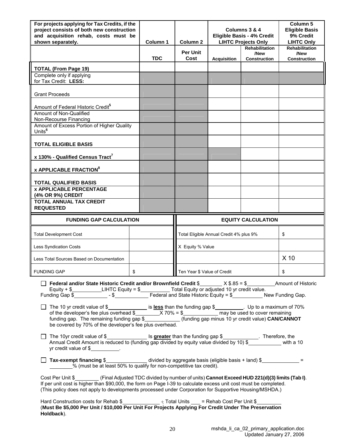| For projects applying for Tax Credits, if the<br>project consists of both new construction<br>and acquisition rehab, costs must be                                                                                         |            | Columns 3 & 4<br><b>Eligible Basis - 4% Credit</b> |                                         |                                               | Column <sub>5</sub><br><b>Eligible Basis</b><br>9% Credit |
|----------------------------------------------------------------------------------------------------------------------------------------------------------------------------------------------------------------------------|------------|----------------------------------------------------|-----------------------------------------|-----------------------------------------------|-----------------------------------------------------------|
| shown separately.                                                                                                                                                                                                          | Column 1   | Column <sub>2</sub>                                |                                         | <b>LIHTC Projects Only</b>                    | <b>LIHTC Only</b>                                         |
|                                                                                                                                                                                                                            | <b>TDC</b> | <b>Per Unit</b><br>Cost                            | <b>Acquisition</b>                      | <b>Rehabilitation</b><br>/New<br>Construction | <b>Rehabilitation</b><br>/New<br><b>Construction</b>      |
| <b>TOTAL (From Page 19)</b>                                                                                                                                                                                                |            |                                                    |                                         |                                               |                                                           |
| Complete only if applying<br>for Tax Credit: LESS:                                                                                                                                                                         |            |                                                    |                                         |                                               |                                                           |
| <b>Grant Proceeds</b>                                                                                                                                                                                                      |            |                                                    |                                         |                                               |                                                           |
| Amount of Federal Historic Credit <sup>5</sup>                                                                                                                                                                             |            |                                                    |                                         |                                               |                                                           |
| Amount of Non-Qualified<br>Non-Recourse Financing                                                                                                                                                                          |            |                                                    |                                         |                                               |                                                           |
| Amount of Excess Portion of Higher Quality                                                                                                                                                                                 |            |                                                    |                                         |                                               |                                                           |
| Units <sup>6</sup>                                                                                                                                                                                                         |            |                                                    |                                         |                                               |                                                           |
| <b>TOTAL ELIGIBLE BASIS</b>                                                                                                                                                                                                |            |                                                    |                                         |                                               |                                                           |
| x 130% - Qualified Census Tract <sup>7</sup>                                                                                                                                                                               |            |                                                    |                                         |                                               |                                                           |
| <b>x APPLICABLE FRACTION<sup>8</sup></b>                                                                                                                                                                                   |            |                                                    |                                         |                                               |                                                           |
| <b>TOTAL QUALIFIED BASIS</b>                                                                                                                                                                                               |            |                                                    |                                         |                                               |                                                           |
| <b>x APPLICABLE PERCENTAGE</b>                                                                                                                                                                                             |            |                                                    |                                         |                                               |                                                           |
| (4% OR 9%) CREDIT                                                                                                                                                                                                          |            |                                                    |                                         |                                               |                                                           |
| <b>TOTAL ANNUAL TAX CREDIT</b><br><b>REQUESTED</b>                                                                                                                                                                         |            |                                                    |                                         |                                               |                                                           |
|                                                                                                                                                                                                                            |            |                                                    |                                         |                                               |                                                           |
| <b>FUNDING GAP CALCULATION</b>                                                                                                                                                                                             |            |                                                    |                                         | <b>EQUITY CALCULATION</b>                     |                                                           |
| <b>Total Development Cost</b>                                                                                                                                                                                              |            |                                                    | Total Eligible Annual Credit 4% plus 9% |                                               | \$                                                        |
| <b>Less Syndication Costs</b>                                                                                                                                                                                              |            | X Equity % Value                                   |                                         |                                               |                                                           |
| Less Total Sources Based on Documentation                                                                                                                                                                                  |            |                                                    |                                         |                                               | X <sub>10</sub>                                           |
| <b>FUNDING GAP</b>                                                                                                                                                                                                         |            | Ten Year \$ Value of Credit                        |                                         |                                               | \$                                                        |
| <b>Solution</b> Federal and/or State Historic Credit and/or Brownfield Credit \$________ $\times$ \$.85 = \$__________ Amount of Historic                                                                                  |            |                                                    |                                         |                                               |                                                           |
| Equity + $\frac{1}{2}$ LIHTC Equity = $\frac{1}{2}$ Total Equity or adjusted 10 yr credit value.                                                                                                                           |            |                                                    |                                         |                                               |                                                           |
|                                                                                                                                                                                                                            |            |                                                    |                                         |                                               |                                                           |
|                                                                                                                                                                                                                            |            |                                                    |                                         |                                               |                                                           |
|                                                                                                                                                                                                                            |            |                                                    |                                         |                                               |                                                           |
|                                                                                                                                                                                                                            |            |                                                    |                                         |                                               |                                                           |
|                                                                                                                                                                                                                            |            |                                                    |                                         |                                               |                                                           |
| The 10yr credit value of \$______________________ Is greater than the funding gap \$_____________. Therefore, the                                                                                                          |            |                                                    |                                         |                                               |                                                           |
| Annual Credit Amount is reduced to (funding gap divided by equity value divided by 10) \$___________ with a 10<br>$yr$ credit value of $$$                                                                                 |            |                                                    |                                         |                                               |                                                           |
|                                                                                                                                                                                                                            |            |                                                    |                                         |                                               |                                                           |
| □ Tax-exempt financing \$<br>$\Box$ Tax-exempt financing \$<br>$=$<br>% (must be at least 50% to qualify for non-competitive tax credit).                                                                                  |            |                                                    |                                         |                                               |                                                           |
| Cost Per Unit \$__________(Final Adjusted TDC divided by number of units) Cannot Exceed HUD 221(d)(3) limits (Tab I).                                                                                                      |            |                                                    |                                         |                                               |                                                           |
| If per unit cost is higher than \$90,000, the form on Page I-39 to calculate excess unit cost must be completed.<br>(This policy does not apply to developments processed under Corporation for Supportive Housing/MSHDA.) |            |                                                    |                                         |                                               |                                                           |

(**Must Be \$5,000 Per Unit / \$10,000 Per Unit For Projects Applying For Credit Under The Preservation Holdback**).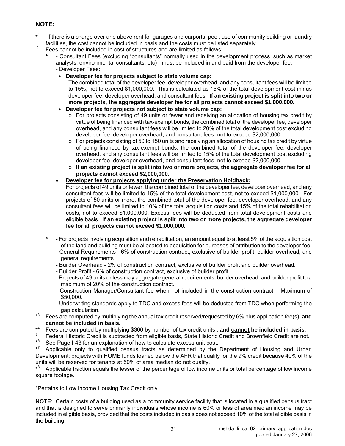## **NOTE:**

- **\*** If there is a charge over and above rent for garages and carports, pool, use of community building or laundry facilities, the cost cannot be included in basis and the costs must be listed separately.
- <sup>2</sup> Fees cannot be included in cost of structures and are limited as follows:
	- **\*** Consultant Fees (excluding "consultants" normally used in the development process, such as market analysts, environmental consultants, etc) - must be included in and paid from the developer fee. - Developer Fees:
		- **Developer fee for projects subject to state volume cap:**

The combined total of the developer fee, developer overhead, and any consultant fees will be limited to 15%, not to exceed \$1,000,000. This is calculated as 15% of the total development cost minus developer fee, developer overhead, and consultant fees. **If an existing project is split into two or more projects, the aggregate developer fee for all projects cannot exceed \$1,000,000.** 

- **Developer fee for projects not subject to state volume cap:**
	- $\circ$  For projects consisting of 49 units or fewer and receiving an allocation of housing tax credit by virtue of being financed with tax-exempt bonds, the combined total of the developer fee, developer overhead, and any consultant fees will be limited to 20% of the total development cost excluding developer fee, developer overhead, and consultant fees, not to exceed \$2,000,000.
	- $\circ$  For projects consisting of 50 to 150 units and receiving an allocation of housing tax credit by virtue of being financed by tax-exempt bonds, the combined total of the developer fee, developer overhead, and any consultant fees will be limited to 15% of the total development cost excluding developer fee, developer overhead, and consultant fees, not to exceed \$2,000,000.
	- o **If an existing project is split into two or more projects, the aggregate developer fee for all projects cannot exceed \$2,000,000.**
- **Developer fee for projects applying under the Preservation Holdback:**
	- For projects of 49 units or fewer, the combined total of the developer fee, developer overhead, and any consultant fees will be limited to 15% of the total development cost, not to exceed \$1,000,000. For projects of 50 units or more, the combined total of the developer fee, developer overhead, and any consultant fees will be limited to 10% of the total acquisition costs and 15% of the total rehabilitation costs, not to exceed \$1,000,000. Excess fees will be deducted from total development costs and eligible basis. **If an existing project is split into two or more projects, the aggregate developer fee for all projects cannot exceed \$1,000,000.**
- **\*** For projects involving acquisition and rehabilitation, an amount equal to at least 5% of the acquisition cost of the land and building must be allocated to acquisition for purposes of attribution to the developer fee.
	- General Requirements 6% of construction contract, exclusive of builder profit, builder overhead, and general requirements.
	- Builder Overhead 2% of construction contract, exclusive of builder profit and builder overhead.
	- Builder Profit 6% of construction contract, exclusive of builder profit.
	- Projects of 49 units or less may aggregate general requirements, builder overhead, and builder profit to a maximum of 20% of the construction contract.
	- Construction Manager/Consultant fee when not included in the construction contract Maximum of \$50,000.
	- Underwriting standards apply to TDC and excess fees will be deducted from TDC when performing the gap calculation.
- $*3$ 3 Fees are computed by multiplying the annual tax credit reserved/requested by 6% plus application fee(s), **and cannot be included in basis.**
- $*^4$ <br>5 Fees are computed by multiplying \$300 by number of tax credit units, and **cannot be included in basis**.<br>Federal Historic Credit is subtracted from eligible basis, State Historic Credit and Brownfield Credit are not.
- 
- \* 6 See Page I-43 for an explanation of how to calculate excess unit cost.

**\*** 7 Applicable only to qualified census tracts as determined by the Department of Housing and Urban Development; projects with HOME funds loaned below the AFR that qualify for the 9% credit because 40% of the units will be reserved for tenants at 50% of area median do not qualify.

**\*** 8 Applicable fraction equals the lesser of the percentage of low income units or total percentage of low income square footage.

\*Pertains to Low Income Housing Tax Credit only.

**NOTE**: Certain costs of a building used as a community service facility that is located in a qualified census tract and that is designed to serve primarily individuals whose income is 60% or less of area median income may be included in eligible basis, provided that the costs included in basis does not exceed 10% of the total eligible basis in the building.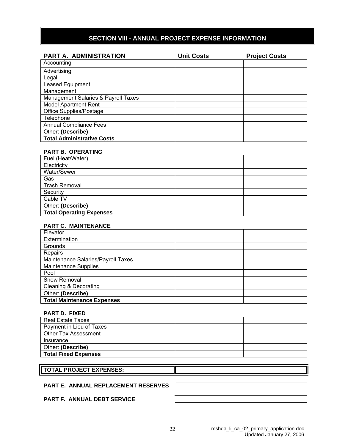## **SECTION VIII - ANNUAL PROJECT EXPENSE INFORMATION**

| <b>PART A. ADMINISTRATION</b>       | <b>Unit Costs</b> | <b>Project Costs</b> |
|-------------------------------------|-------------------|----------------------|
| Accounting                          |                   |                      |
| Advertising                         |                   |                      |
| Legal                               |                   |                      |
| <b>Leased Equipment</b>             |                   |                      |
| Management                          |                   |                      |
| Management Salaries & Payroll Taxes |                   |                      |
| <b>Model Apartment Rent</b>         |                   |                      |
| Office Supplies/Postage             |                   |                      |
| Telephone                           |                   |                      |
| <b>Annual Compliance Fees</b>       |                   |                      |
| Other: (Describe)                   |                   |                      |
| <b>Total Administrative Costs</b>   |                   |                      |

#### **PART B. OPERATING**

| Fuel (Heat/Water)               |  |
|---------------------------------|--|
| Electricity                     |  |
| Water/Sewer                     |  |
| Gas                             |  |
| <b>Trash Removal</b>            |  |
| Security                        |  |
| Cable TV                        |  |
| Other: (Describe)               |  |
| <b>Total Operating Expenses</b> |  |

#### **PART C. MAINTENANCE**

| Elevator                           |  |
|------------------------------------|--|
| Extermination                      |  |
| Grounds                            |  |
| Repairs                            |  |
| Maintenance Salaries/Payroll Taxes |  |
| <b>Maintenance Supplies</b>        |  |
| Pool                               |  |
| Snow Removal                       |  |
| <b>Cleaning &amp; Decorating</b>   |  |
| Other: (Describe)                  |  |
| <b>Total Maintenance Expenses</b>  |  |

#### **PART D. FIXED**

| Real Estate Taxes           |  |
|-----------------------------|--|
| Payment in Lieu of Taxes    |  |
| Other Tax Assessment        |  |
| Insurance                   |  |
| Other: (Describe)           |  |
| <b>Total Fixed Expenses</b> |  |

#### **TOTAL PROJECT EXPENSES:**

#### **PART E. ANNUAL REPLACEMENT RESERVES**

#### **PART F. ANNUAL DEBT SERVICE**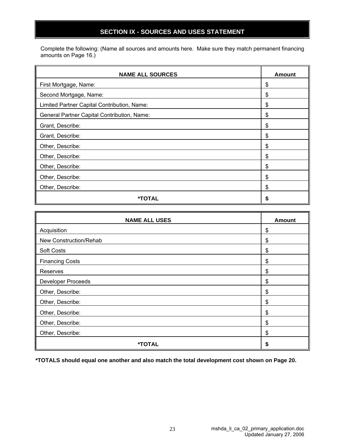## **SECTION IX - SOURCES AND USES STATEMENT**

Complete the following: (Name all sources and amounts here. Make sure they match permanent financing amounts on Page 16.)

| <b>NAME ALL SOURCES</b>                     | Amount |
|---------------------------------------------|--------|
| First Mortgage, Name:                       | \$     |
| Second Mortgage, Name:                      | \$     |
| Limited Partner Capital Contribution, Name: | \$     |
| General Partner Capital Contribution, Name: | \$     |
| Grant, Describe:                            | \$     |
| Grant, Describe:                            | \$     |
| Other, Describe:                            | \$     |
| Other, Describe:                            | \$     |
| Other, Describe:                            | \$     |
| Other, Describe:                            | S      |
| Other, Describe:                            | \$     |
| <b>*TOTAL</b>                               | S      |

| <b>NAME ALL USES</b>      | <b>Amount</b> |
|---------------------------|---------------|
| Acquisition               | \$            |
| New Construction/Rehab    | \$            |
| Soft Costs                | \$            |
| <b>Financing Costs</b>    | \$            |
| Reserves                  | \$            |
| <b>Developer Proceeds</b> | \$            |
| Other, Describe:          | \$            |
| Other, Describe:          | \$            |
| Other, Describe:          | \$            |
| Other, Describe:          | \$            |
| Other, Describe:          | \$            |
| *TOTAL                    | S             |

**\*TOTALS should equal one another and also match the total development cost shown on Page 20.**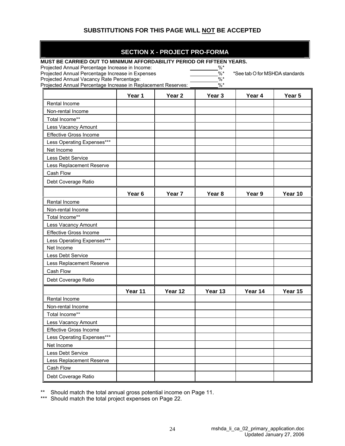## **SUBSTITUTIONS FOR THIS PAGE WILL NOT BE ACCEPTED**

#### **SECTION X - PROJECT PRO-FORMA**

| MUST BE CARRIED OUT TO MINIMUM AFFORDABILITY PERIOD OR FIFTEEN YEARS.                                      |                   |                   |                           |                                |         |
|------------------------------------------------------------------------------------------------------------|-------------------|-------------------|---------------------------|--------------------------------|---------|
| Projected Annual Percentage Increase in Income:                                                            |                   |                   | %*                        |                                |         |
| Projected Annual Percentage Increase in Expenses                                                           |                   |                   | $\frac{0}{6}$ *<br>$\%$ * | *See tab O for MSHDA standards |         |
| Projected Annual Vacancy Rate Percentage:<br>Projected Annual Percentage Increase in Replacement Reserves: |                   |                   | $\%*$                     |                                |         |
|                                                                                                            | Year 1            | Year <sub>2</sub> | Year 3                    | Year 4                         | Year 5  |
| Rental Income                                                                                              |                   |                   |                           |                                |         |
| Non-rental Income                                                                                          |                   |                   |                           |                                |         |
| Total Income**                                                                                             |                   |                   |                           |                                |         |
| Less Vacancy Amount                                                                                        |                   |                   |                           |                                |         |
| <b>Effective Gross Income</b>                                                                              |                   |                   |                           |                                |         |
| Less Operating Expenses***                                                                                 |                   |                   |                           |                                |         |
| Net Income                                                                                                 |                   |                   |                           |                                |         |
| Less Debt Service                                                                                          |                   |                   |                           |                                |         |
| Less Replacement Reserve                                                                                   |                   |                   |                           |                                |         |
| Cash Flow                                                                                                  |                   |                   |                           |                                |         |
| Debt Coverage Ratio                                                                                        |                   |                   |                           |                                |         |
|                                                                                                            |                   |                   |                           |                                |         |
|                                                                                                            | Year <sub>6</sub> | Year <sub>7</sub> | Year 8                    | Year 9                         | Year 10 |
| Rental Income                                                                                              |                   |                   |                           |                                |         |
| Non-rental Income                                                                                          |                   |                   |                           |                                |         |
| Total Income**                                                                                             |                   |                   |                           |                                |         |
| Less Vacancy Amount                                                                                        |                   |                   |                           |                                |         |
| <b>Effective Gross Income</b>                                                                              |                   |                   |                           |                                |         |
| Less Operating Expenses***                                                                                 |                   |                   |                           |                                |         |
| Net Income                                                                                                 |                   |                   |                           |                                |         |
| Less Debt Service                                                                                          |                   |                   |                           |                                |         |
| Less Replacement Reserve                                                                                   |                   |                   |                           |                                |         |
| Cash Flow                                                                                                  |                   |                   |                           |                                |         |
| Debt Coverage Ratio                                                                                        |                   |                   |                           |                                |         |
|                                                                                                            | Year 11           | Year 12           | Year 13                   | Year 14                        | Year 15 |
| Rental Income                                                                                              |                   |                   |                           |                                |         |
| Non-rental Income                                                                                          |                   |                   |                           |                                |         |
| Total Income**                                                                                             |                   |                   |                           |                                |         |
| Less Vacancy Amount                                                                                        |                   |                   |                           |                                |         |
| <b>Effective Gross Income</b>                                                                              |                   |                   |                           |                                |         |
| Less Operating Expenses***                                                                                 |                   |                   |                           |                                |         |
| Net Income                                                                                                 |                   |                   |                           |                                |         |
| Less Debt Service                                                                                          |                   |                   |                           |                                |         |
| Less Replacement Reserve                                                                                   |                   |                   |                           |                                |         |
| Cash Flow                                                                                                  |                   |                   |                           |                                |         |
| Debt Coverage Ratio                                                                                        |                   |                   |                           |                                |         |
|                                                                                                            |                   |                   |                           |                                |         |

\*\* Should match the total annual gross potential income on Page 11.

\*\*\* Should match the total project expenses on Page 22.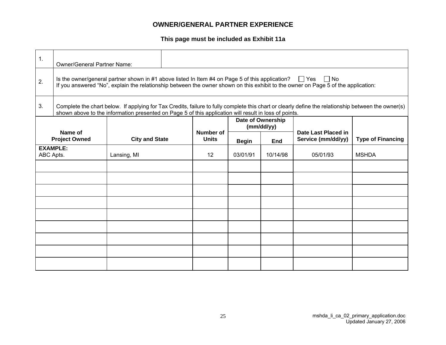## **OWNER/GENERAL PARTNER EXPERIENCE**

**This page must be included as Exhibit 11a**

| 1.        | <b>Owner/General Partner Name:</b> |                                                                                                            |                                  |              |                                 |                                                                                                                                                     |                          |
|-----------|------------------------------------|------------------------------------------------------------------------------------------------------------|----------------------------------|--------------|---------------------------------|-----------------------------------------------------------------------------------------------------------------------------------------------------|--------------------------|
| 2.        |                                    | Is the owner/general partner shown in #1 above listed In Item #4 on Page 5 of this application? $\Box$ Yes |                                  |              |                                 | $\Box$ No<br>If you answered "No", explain the relationship between the owner shown on this exhibit to the owner on Page 5 of the application:      |                          |
| 3.        |                                    | shown above to the information presented on Page 5 of this application will result in loss of points.      |                                  |              |                                 | Complete the chart below. If applying for Tax Credits, failure to fully complete this chart or clearly define the relationship between the owner(s) |                          |
|           |                                    |                                                                                                            |                                  |              | Date of Ownership<br>(mm/dd/yy) |                                                                                                                                                     |                          |
|           | Name of<br><b>Project Owned</b>    | <b>City and State</b>                                                                                      | <b>Number of</b><br><b>Units</b> | <b>Begin</b> | End                             | Date Last Placed in<br>Service (mm/dd/yy)                                                                                                           | <b>Type of Financing</b> |
| ABC Apts. | <b>EXAMPLE:</b>                    | Lansing, MI                                                                                                | $12 \overline{ }$                | 03/01/91     | 10/14/98                        | 05/01/93                                                                                                                                            | <b>MSHDA</b>             |
|           |                                    |                                                                                                            |                                  |              |                                 |                                                                                                                                                     |                          |
|           |                                    |                                                                                                            |                                  |              |                                 |                                                                                                                                                     |                          |
|           |                                    |                                                                                                            |                                  |              |                                 |                                                                                                                                                     |                          |
|           |                                    |                                                                                                            |                                  |              |                                 |                                                                                                                                                     |                          |
|           |                                    |                                                                                                            |                                  |              |                                 |                                                                                                                                                     |                          |
|           |                                    |                                                                                                            |                                  |              |                                 |                                                                                                                                                     |                          |
|           |                                    |                                                                                                            |                                  |              |                                 |                                                                                                                                                     |                          |
|           |                                    |                                                                                                            |                                  |              |                                 |                                                                                                                                                     |                          |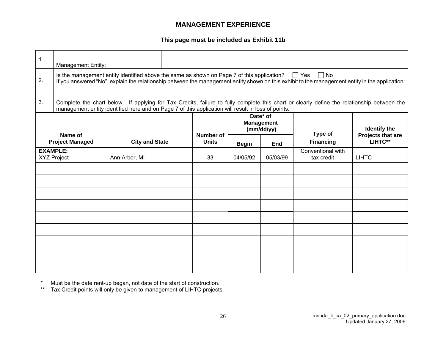## **MANAGEMENT EXPERIENCE**

**This page must be included as Exhibit 11b**

| 1. | <b>Management Entity:</b>             |                                                                                                       |  |                           |                                             |          |                                                                                                                                                              |                              |
|----|---------------------------------------|-------------------------------------------------------------------------------------------------------|--|---------------------------|---------------------------------------------|----------|--------------------------------------------------------------------------------------------------------------------------------------------------------------|------------------------------|
| 2. |                                       | Is the management entity identified above the same as shown on Page 7 of this application? $\Box$ Yes |  |                           |                                             |          | $\Box$ No<br>If you answered "No", explain the relationship between the management entity shown on this exhibit to the management entity in the application: |                              |
| 3. |                                       | management entity identified here and on Page 7 of this application will result in loss of points.    |  |                           |                                             |          | Complete the chart below. If applying for Tax Credits, failure to fully complete this chart or clearly define the relationship between the                   |                              |
|    |                                       |                                                                                                       |  |                           | Date* of<br><b>Management</b><br>(mm/dd/yy) |          | Type of                                                                                                                                                      | <b>Identify the</b>          |
|    | Name of<br><b>Project Managed</b>     | <b>City and State</b>                                                                                 |  | Number of<br><b>Units</b> | <b>Begin</b>                                | End      | <b>Financing</b>                                                                                                                                             | Projects that are<br>LIHTC** |
|    | <b>EXAMPLE:</b><br><b>XYZ Project</b> | Ann Arbor, MI                                                                                         |  | 33                        | 04/05/92                                    | 05/03/99 | Conventional with<br>tax credit                                                                                                                              | <b>LIHTC</b>                 |
|    |                                       |                                                                                                       |  |                           |                                             |          |                                                                                                                                                              |                              |
|    |                                       |                                                                                                       |  |                           |                                             |          |                                                                                                                                                              |                              |
|    |                                       |                                                                                                       |  |                           |                                             |          |                                                                                                                                                              |                              |
|    |                                       |                                                                                                       |  |                           |                                             |          |                                                                                                                                                              |                              |
|    |                                       |                                                                                                       |  |                           |                                             |          |                                                                                                                                                              |                              |
|    |                                       |                                                                                                       |  |                           |                                             |          |                                                                                                                                                              |                              |
|    |                                       |                                                                                                       |  |                           |                                             |          |                                                                                                                                                              |                              |
|    |                                       |                                                                                                       |  |                           |                                             |          |                                                                                                                                                              |                              |
|    |                                       |                                                                                                       |  |                           |                                             |          |                                                                                                                                                              |                              |

\* Must be the date rent-up began, not date of the start of construction.

\*\* Tax Credit points will only be given to management of LIHTC projects.